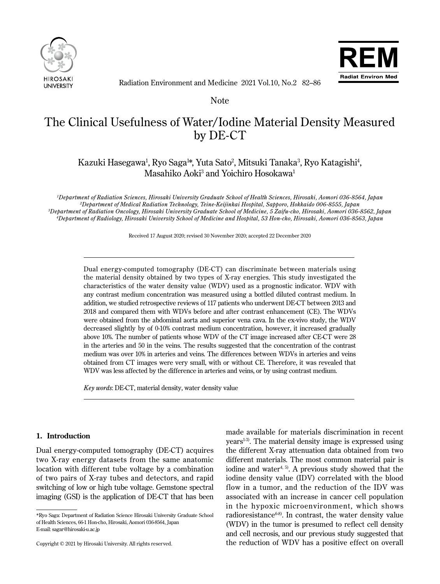



Radiation Environment and Medicine 2021 Vol.10, No.2 82–86

Note

# The Clinical Usefulness of Water/Iodine Material Density Measured by DE-CT

# Kazuki Hasegawa<sup>1</sup>, Ryo Saga<sup>1</sup>\*, Yuta Sato<sup>2</sup>, Mitsuki Tanaka<sup>3</sup>, Ryo Katagishi<sup>4</sup>, Masahiko Aoki<sup>3</sup> and Yoichiro Hosokawa<sup>1</sup>

 *Department of Radiation Sciences, Hirosaki University Graduate School of Health Sciences, Hirosaki, Aomori 036-8564, Japan Department of Medical Radiation Technology, Teine-Keijinkai Hospital, Sapporo, Hokkaido 006-8555, Japan Department of Radiation Oncology, Hirosaki University Graduate School of Medicine, 5 Zaifu-cho, Hirosaki, Aomori 036-8562, Japan Department of Radiology, Hirosaki University School of Medicine and Hospital, 53 Hon-cho, Hirosaki, Aomori 036-8563, Japan*

Received 17 August 2020; revised 30 November 2020; accepted 22 December 2020

Dual energy-computed tomography (DE-CT) can discriminate between materials using the material density obtained by two types of X-ray energies. This study investigated the characteristics of the water density value (WDV) used as a prognostic indicator. WDV with any contrast medium concentration was measured using a bottled diluted contrast medium. In addition, we studied retrospective reviews of 117 patients who underwent DE-CT between 2013 and 2018 and compared them with WDVs before and after contrast enhancement (CE). The WDVs were obtained from the abdominal aorta and superior vena cava. In the ex-vivo study, the WDV decreased slightly by of 0-10% contrast medium concentration, however, it increased gradually above 10%. The number of patients whose WDV of the CT image increased after CE-CT were 28 in the arteries and 50 in the veins. The results suggested that the concentration of the contrast medium was over 10% in arteries and veins. The differences between WDVs in arteries and veins obtained from CT images were very small, with or without CE. Therefore, it was revealed that WDV was less affected by the difference in arteries and veins, or by using contrast medium.

*Key words*: DE-CT, material density, water density value

# **1. Introduction**

Ī

 $\overline{a}$ 

Dual energy-computed tomography (DE-CT) acquires two X-ray energy datasets from the same anatomic location with different tube voltage by a combination of two pairs of X-ray tubes and detectors, and rapid switching of low or high tube voltage. Gemstone spectral imaging (GSI) is the application of DE-CT that has been

\*Ryo Saga: Department of Radiation Science Hirosaki University Graduate School of Health Sciences, 66-1 Hon-cho, Hirosaki, Aomori 036-8564, Japan E-mail: sagar@hirosaki-u.ac.jp

made available for materials discrimination in recent  $years<sup>1-3</sup>$ . The material density image is expressed using the different X-ray attenuation data obtained from two different materials. The most common material pair is iodine and water<sup>4, 5)</sup>. A previous study showed that the iodine density value (IDV) correlated with the blood flow in a tumor, and the reduction of the IDV was associated with an increase in cancer cell population in the hypoxic microenvironment, which shows radioresistance $6-8$ . In contrast, the water density value (WDV) in the tumor is presumed to reflect cell density and cell necrosis, and our previous study suggested that the reduction of WDV has a positive effect on overall

Copyright © 2021 by Hirosaki University. All rights reserved.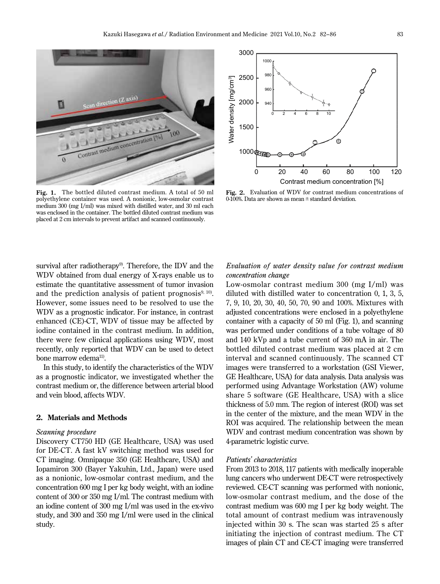

**Fig. 1.** The bottled diluted contrast medium. A total of 50 ml polyethylene container was used. A nonionic, low-osmolar contrast medium 300 (mg I/ml) was mixed with distilled water, and 30 ml each was enclosed in the container. The bottled diluted contrast medium was placed at 2 cm intervals to prevent artifact and scanned continuously.

survival after radiotherapy<sup>9)</sup>. Therefore, the IDV and the WDV obtained from dual energy of X-rays enable us to estimate the quantitative assessment of tumor invasion and the prediction analysis of patient prognosis $9,10$ . However, some issues need to be resolved to use the WDV as a prognostic indicator. For instance, in contrast enhanced (CE)-CT, WDV of tissue may be affected by iodine contained in the contrast medium. In addition, there were few clinical applications using WDV, most recently, only reported that WDV can be used to detect bone marrow edema<sup>11)</sup>.

In this study, to identify the characteristics of the WDV as a prognostic indicator, we investigated whether the contrast medium or, the difference between arterial blood and vein blood, affects WDV.

#### **2. Materials and Methods**

#### *Scanning procedure*

Discovery CT750 HD (GE Healthcare, USA) was used for DE-CT. A fast kV switching method was used for CT imaging. Omnipaque 350 (GE Healthcare, USA) and Iopamiron 300 (Bayer Yakuhin, Ltd., Japan) were used as a nonionic, low-osmolar contrast medium, and the concentration 600 mg I per kg body weight, with an iodine content of 300 or 350 mg I/ml. The contrast medium with an iodine content of 300 mg I/ml was used in the ex-vivo study, and 300 and 350 mg I/ml were used in the clinical study.



**Fig. 2.** Evaluation of WDV for contrast medium concentrations of 0-100%. Data are shown as mean ± standard deviation.

# *Evaluation of water density value for contrast medium concentration change*

Low-osmolar contrast medium 300 (mg I/ml) was diluted with distilled water to concentration 0, 1, 3, 5, 7, 9, 10, 20, 30, 40, 50, 70, 90 and 100%. Mixtures with adjusted concentrations were enclosed in a polyethylene container with a capacity of 50 ml (Fig. 1), and scanning was performed under conditions of a tube voltage of 80 and 140 kVp and a tube current of 360 mA in air. The bottled diluted contrast medium was placed at 2 cm interval and scanned continuously. The scanned CT images were transferred to a workstation (GSI Viewer, GE Healthcare, USA) for data analysis. Data analysis was performed using Advantage Workstation (AW) volume share 5 software (GE Healthcare, USA) with a slice thickness of 5.0 mm. The region of interest (ROI) was set in the center of the mixture, and the mean WDV in the ROI was acquired. The relationship between the mean WDV and contrast medium concentration was shown by 4-parametric logistic curve.

#### *Patients' characteristics*

From 2013 to 2018, 117 patients with medically inoperable lung cancers who underwent DE-CT were retrospectively reviewed. CE-CT scanning was performed with nonionic, low-osmolar contrast medium, and the dose of the contrast medium was 600 mg I per kg body weight. The total amount of contrast medium was intravenously injected within 30 s. The scan was started 25 s after initiating the injection of contrast medium. The CT images of plain CT and CE-CT imaging were transferred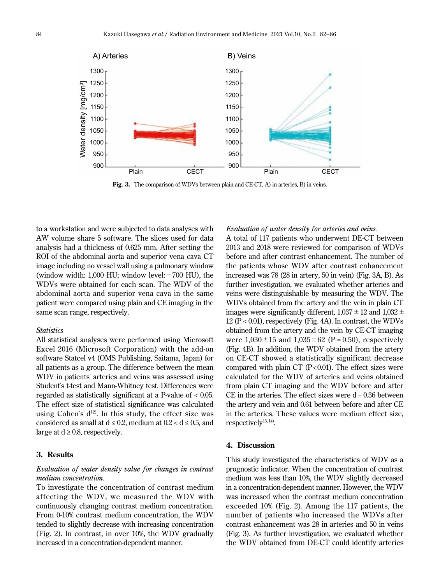

Fig. 3. The comparison of WDVs between plain and CE-CT, A) in arteries, B) in veins.

to a workstation and were subjected to data analyses with AW volume share 5 software. The slices used for data analysis had a thickness of 0.625 mm. After setting the ROI of the abdominal aorta and superior vena cava CT image including no vessel wall using a pulmonary window (window width:  $1,000$  HU; window level: $-700$  HU), the WDVs were obtained for each scan. The WDV of the abdominal aorta and superior vena cava in the same patient were compared using plain and CE imaging in the same scan range, respectively.

#### *Statistics*

All statistical analyses were performed using Microsoft Excel 2016 (Microsoft Corporation) with the add-on software Statcel v4 (OMS Publishing, Saitama, Japan) for all patients as a group. The difference between the mean WDV in patients' arteries and veins was assessed using Student's t-test and Mann-Whitney test. Differences were regarded as statistically significant at a P-value of < 0.05. The effect size of statistical significance was calculated using Cohen's  $d^{12}$ . In this study, the effect size was considered as small at  $d \le 0.2$ , medium at  $0.2 < d \le 0.5$ , and large at  $d \geq 0.8$ , respectively.

#### **3. Results**

# *Evaluation of water density value for changes in contrast medium concentration.*

To investigate the concentration of contrast medium affecting the WDV, we measured the WDV with continuously changing contrast medium concentration. From 0-10% contrast medium concentration, the WDV tended to slightly decrease with increasing concentration (Fig. 2). In contrast, in over 10%, the WDV gradually increased in a concentration-dependent manner.

#### *Evaluation of water density for arteries and veins.*

A total of 117 patients who underwent DE-CT between 2013 and 2018 were reviewed for comparison of WDVs before and after contrast enhancement. The number of the patients whose WDV after contrast enhancement increased was 78 (28 in artery, 50 in vein) (Fig. 3A, B). As further investigation, we evaluated whether arteries and veins were distinguishable by measuring the WDV. The WDVs obtained from the artery and the vein in plain CT images were significantly different,  $1,037 \pm 12$  and  $1,032 \pm 12$ 12 ( $P < 0.01$ ), respectively (Fig. 4A). In contrast, the WDVs obtained from the artery and the vein by CE-CT imaging were  $1,030 \pm 15$  and  $1,035 \pm 62$  (P = 0.50), respectively (Fig. 4B). In addition, the WDV obtained from the artery on CE-CT showed a statistically significant decrease compared with plain CT  $(P<0.01)$ . The effect sizes were calculated for the WDV of arteries and veins obtained from plain CT imaging and the WDV before and after CE in the arteries. The effect sizes were  $d = 0.36$  between the artery and vein and 0.61 between before and after CE in the arteries. These values were medium effect size, respectively<sup>13, 14)</sup>.

## **4. Discussion**

This study investigated the characteristics of WDV as a prognostic indicator. When the concentration of contrast medium was less than 10%, the WDV slightly decreased in a concentration-dependent manner. However, the WDV was increased when the contrast medium concentration exceeded 10% (Fig. 2). Among the 117 patients, the number of patients who increased the WDVs after contrast enhancement was 28 in arteries and 50 in veins (Fig. 3). As further investigation, we evaluated whether the WDV obtained from DE-CT could identify arteries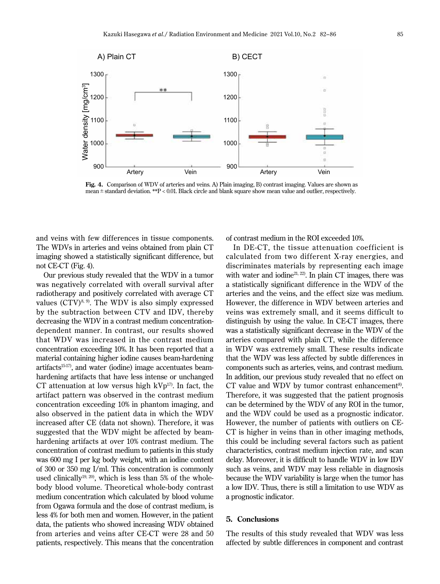

**Fig. 4.** Comparison of WDV of arteries and veins. A) Plain imaging, B) contrast imaging. Values are shown as mean ± standard deviation. \*\*P < 0.01. Black circle and blank square show mean value and outlier, respectively.

and veins with few differences in tissue components. The WDVs in arteries and veins obtained from plain CT imaging showed a statistically significant difference, but not CE-CT (Fig. 4).

Our previous study revealed that the WDV in a tumor was negatively correlated with overall survival after radiotherapy and positively correlated with average CT values  $(TVV)^{8, 9}$ . The WDV is also simply expressed by the subtraction between CTV and IDV, thereby decreasing the WDV in a contrast medium concentrationdependent manner. In contrast, our results showed that WDV was increased in the contrast medium concentration exceeding 10%. It has been reported that a material containing higher iodine causes beam-hardening artifacts15-17), and water (iodine) image accentuates beamhardening artifacts that have less intense or unchanged CT attenuation at low versus high  $kVp^{17}$ . In fact, the artifact pattern was observed in the contrast medium concentration exceeding 10% in phantom imaging, and also observed in the patient data in which the WDV increased after CE (data not shown). Therefore, it was suggested that the WDV might be affected by beamhardening artifacts at over 10% contrast medium. The concentration of contrast medium to patients in this study was 600 mg I per kg body weight, with an iodine content of 300 or 350 mg I/ml. This concentration is commonly used clinically<sup>19, 20</sup>, which is less than 5% of the wholebody blood volume. Theoretical whole-body contrast medium concentration which calculated by blood volume from Ogawa formula and the dose of contrast medium, is less 4% for both men and women. However, in the patient data, the patients who showed increasing WDV obtained from arteries and veins after CE-CT were 28 and 50 patients, respectively. This means that the concentration

of contrast medium in the ROI exceeded 10%.

In DE-CT, the tissue attenuation coefficient is calculated from two different X-ray energies, and discriminates materials by representing each image with water and iodine<sup>21, 22</sup>. In plain CT images, there was a statistically significant difference in the WDV of the arteries and the veins, and the effect size was medium. However, the difference in WDV between arteries and veins was extremely small, and it seems difficult to distinguish by using the value. In CE-CT images, there was a statistically significant decrease in the WDV of the arteries compared with plain CT, while the difference in WDV was extremely small. These results indicate that the WDV was less affected by subtle differences in components such as arteries, veins, and contrast medium. In addition, our previous study revealed that no effect on CT value and WDV by tumor contrast enhancement<sup>8)</sup>. Therefore, it was suggested that the patient prognosis can be determined by the WDV of any ROI in the tumor, and the WDV could be used as a prognostic indicator. However, the number of patients with outliers on CE-CT is higher in veins than in other imaging methods, this could be including several factors such as patient characteristics, contrast medium injection rate, and scan delay. Moreover, it is difficult to handle WDV in low IDV such as veins, and WDV may less reliable in diagnosis because the WDV variability is large when the tumor has a low IDV. Thus, there is still a limitation to use WDV as a prognostic indicator.

## **5. Conclusions**

The results of this study revealed that WDV was less affected by subtle differences in component and contrast